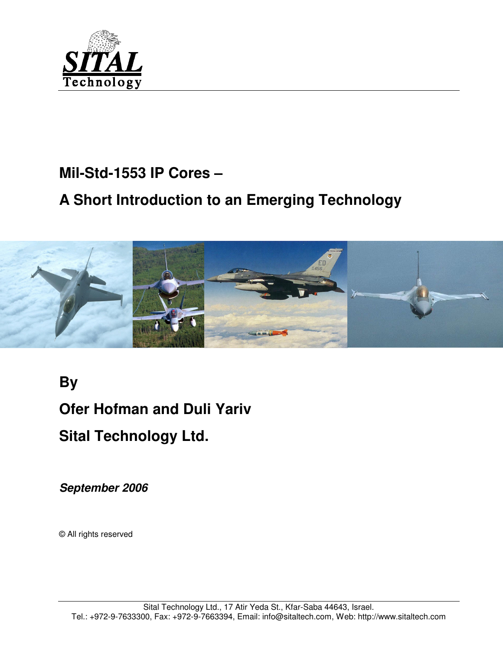

# **Mil-Std-1553 IP Cores –**

# **A Short Introduction to an Emerging Technology**



**By Ofer Hofman and Duli Yariv Sital Technology Ltd.** 

**September 2006** 

© All rights reserved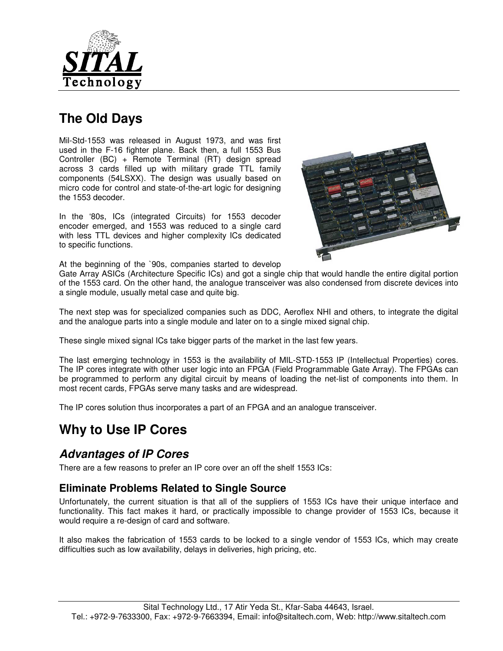

# **The Old Days**

Mil-Std-1553 was released in August 1973, and was first used in the F-16 fighter plane. Back then, a full 1553 Bus Controller (BC) + Remote Terminal (RT) design spread across 3 cards filled up with military grade TTL family components (54LSXX). The design was usually based on micro code for control and state-of-the-art logic for designing the 1553 decoder.

In the '80s, ICs (integrated Circuits) for 1553 decoder encoder emerged, and 1553 was reduced to a single card with less TTL devices and higher complexity ICs dedicated to specific functions.



At the beginning of the `90s, companies started to develop

Gate Array ASICs (Architecture Specific ICs) and got a single chip that would handle the entire digital portion of the 1553 card. On the other hand, the analogue transceiver was also condensed from discrete devices into a single module, usually metal case and quite big.

The next step was for specialized companies such as DDC, Aeroflex NHI and others, to integrate the digital and the analogue parts into a single module and later on to a single mixed signal chip.

These single mixed signal ICs take bigger parts of the market in the last few years.

The last emerging technology in 1553 is the availability of MIL-STD-1553 IP (Intellectual Properties) cores. The IP cores integrate with other user logic into an FPGA (Field Programmable Gate Array). The FPGAs can be programmed to perform any digital circuit by means of loading the net-list of components into them. In most recent cards, FPGAs serve many tasks and are widespread.

The IP cores solution thus incorporates a part of an FPGA and an analogue transceiver.

## **Why to Use IP Cores**

#### **Advantages of IP Cores**

There are a few reasons to prefer an IP core over an off the shelf 1553 ICs:

#### **Eliminate Problems Related to Single Source**

Unfortunately, the current situation is that all of the suppliers of 1553 ICs have their unique interface and functionality. This fact makes it hard, or practically impossible to change provider of 1553 ICs, because it would require a re-design of card and software.

It also makes the fabrication of 1553 cards to be locked to a single vendor of 1553 ICs, which may create difficulties such as low availability, delays in deliveries, high pricing, etc.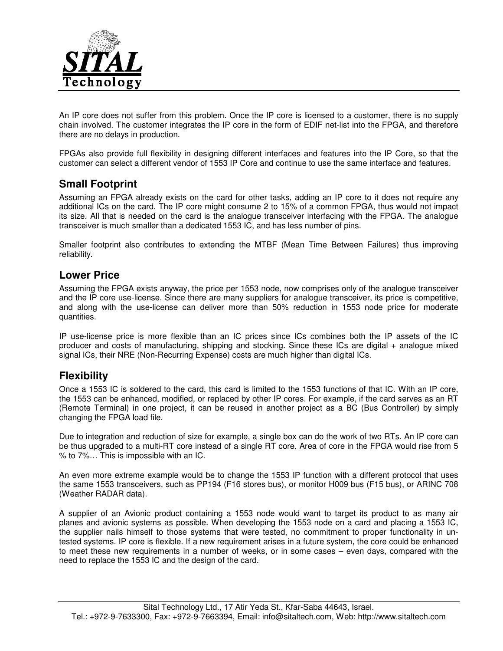

An IP core does not suffer from this problem. Once the IP core is licensed to a customer, there is no supply chain involved. The customer integrates the IP core in the form of EDIF net-list into the FPGA, and therefore there are no delays in production.

FPGAs also provide full flexibility in designing different interfaces and features into the IP Core, so that the customer can select a different vendor of 1553 IP Core and continue to use the same interface and features.

#### **Small Footprint**

Assuming an FPGA already exists on the card for other tasks, adding an IP core to it does not require any additional ICs on the card. The IP core might consume 2 to 15% of a common FPGA, thus would not impact its size. All that is needed on the card is the analogue transceiver interfacing with the FPGA. The analogue transceiver is much smaller than a dedicated 1553 IC, and has less number of pins.

Smaller footprint also contributes to extending the MTBF (Mean Time Between Failures) thus improving reliability.

#### **Lower Price**

Assuming the FPGA exists anyway, the price per 1553 node, now comprises only of the analogue transceiver and the IP core use-license. Since there are many suppliers for analogue transceiver, its price is competitive, and along with the use-license can deliver more than 50% reduction in 1553 node price for moderate quantities.

IP use-license price is more flexible than an IC prices since ICs combines both the IP assets of the IC producer and costs of manufacturing, shipping and stocking. Since these ICs are digital + analogue mixed signal ICs, their NRE (Non-Recurring Expense) costs are much higher than digital ICs.

#### **Flexibility**

Once a 1553 IC is soldered to the card, this card is limited to the 1553 functions of that IC. With an IP core, the 1553 can be enhanced, modified, or replaced by other IP cores. For example, if the card serves as an RT (Remote Terminal) in one project, it can be reused in another project as a BC (Bus Controller) by simply changing the FPGA load file.

Due to integration and reduction of size for example, a single box can do the work of two RTs. An IP core can be thus upgraded to a multi-RT core instead of a single RT core. Area of core in the FPGA would rise from 5 % to 7%… This is impossible with an IC.

An even more extreme example would be to change the 1553 IP function with a different protocol that uses the same 1553 transceivers, such as PP194 (F16 stores bus), or monitor H009 bus (F15 bus), or ARINC 708 (Weather RADAR data).

A supplier of an Avionic product containing a 1553 node would want to target its product to as many air planes and avionic systems as possible. When developing the 1553 node on a card and placing a 1553 IC, the supplier nails himself to those systems that were tested, no commitment to proper functionality in untested systems. IP core is flexible. If a new requirement arises in a future system, the core could be enhanced to meet these new requirements in a number of weeks, or in some cases – even days, compared with the need to replace the 1553 IC and the design of the card.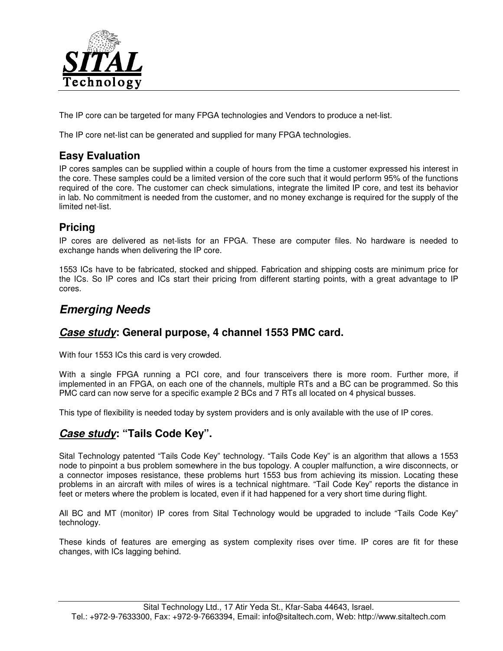

The IP core can be targeted for many FPGA technologies and Vendors to produce a net-list.

The IP core net-list can be generated and supplied for many FPGA technologies.

### **Easy Evaluation**

IP cores samples can be supplied within a couple of hours from the time a customer expressed his interest in the core. These samples could be a limited version of the core such that it would perform 95% of the functions required of the core. The customer can check simulations, integrate the limited IP core, and test its behavior in lab. No commitment is needed from the customer, and no money exchange is required for the supply of the limited net-list.

#### **Pricing**

IP cores are delivered as net-lists for an FPGA. These are computer files. No hardware is needed to exchange hands when delivering the IP core.

1553 ICs have to be fabricated, stocked and shipped. Fabrication and shipping costs are minimum price for the ICs. So IP cores and ICs start their pricing from different starting points, with a great advantage to IP cores.

### **Emerging Needs**

#### **Case study: General purpose, 4 channel 1553 PMC card.**

With four 1553 ICs this card is very crowded.

With a single FPGA running a PCI core, and four transceivers there is more room. Further more, if implemented in an FPGA, on each one of the channels, multiple RTs and a BC can be programmed. So this PMC card can now serve for a specific example 2 BCs and 7 RTs all located on 4 physical busses.

This type of flexibility is needed today by system providers and is only available with the use of IP cores.

### **Case study: "Tails Code Key".**

Sital Technology patented "Tails Code Key" technology. "Tails Code Key" is an algorithm that allows a 1553 node to pinpoint a bus problem somewhere in the bus topology. A coupler malfunction, a wire disconnects, or a connector imposes resistance, these problems hurt 1553 bus from achieving its mission. Locating these problems in an aircraft with miles of wires is a technical nightmare. "Tail Code Key" reports the distance in feet or meters where the problem is located, even if it had happened for a very short time during flight.

All BC and MT (monitor) IP cores from Sital Technology would be upgraded to include "Tails Code Key" technology.

These kinds of features are emerging as system complexity rises over time. IP cores are fit for these changes, with ICs lagging behind.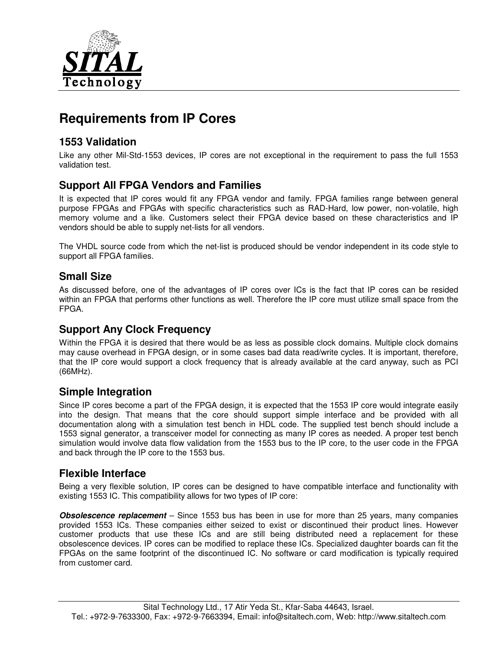

# **Requirements from IP Cores**

#### **1553 Validation**

Like any other Mil-Std-1553 devices, IP cores are not exceptional in the requirement to pass the full 1553 validation test.

#### **Support All FPGA Vendors and Families**

It is expected that IP cores would fit any FPGA vendor and family. FPGA families range between general purpose FPGAs and FPGAs with specific characteristics such as RAD-Hard, low power, non-volatile, high memory volume and a like. Customers select their FPGA device based on these characteristics and IP vendors should be able to supply net-lists for all vendors.

The VHDL source code from which the net-list is produced should be vendor independent in its code style to support all FPGA families.

#### **Small Size**

As discussed before, one of the advantages of IP cores over ICs is the fact that IP cores can be resided within an FPGA that performs other functions as well. Therefore the IP core must utilize small space from the FPGA.

#### **Support Any Clock Frequency**

Within the FPGA it is desired that there would be as less as possible clock domains. Multiple clock domains may cause overhead in FPGA design, or in some cases bad data read/write cycles. It is important, therefore, that the IP core would support a clock frequency that is already available at the card anyway, such as PCI (66MHz).

#### **Simple Integration**

Since IP cores become a part of the FPGA design, it is expected that the 1553 IP core would integrate easily into the design. That means that the core should support simple interface and be provided with all documentation along with a simulation test bench in HDL code. The supplied test bench should include a 1553 signal generator, a transceiver model for connecting as many IP cores as needed. A proper test bench simulation would involve data flow validation from the 1553 bus to the IP core, to the user code in the FPGA and back through the IP core to the 1553 bus.

#### **Flexible Interface**

Being a very flexible solution, IP cores can be designed to have compatible interface and functionality with existing 1553 IC. This compatibility allows for two types of IP core:

**Obsolescence replacement** – Since 1553 bus has been in use for more than 25 years, many companies provided 1553 ICs. These companies either seized to exist or discontinued their product lines. However customer products that use these ICs and are still being distributed need a replacement for these obsolescence devices. IP cores can be modified to replace these ICs. Specialized daughter boards can fit the FPGAs on the same footprint of the discontinued IC. No software or card modification is typically required from customer card.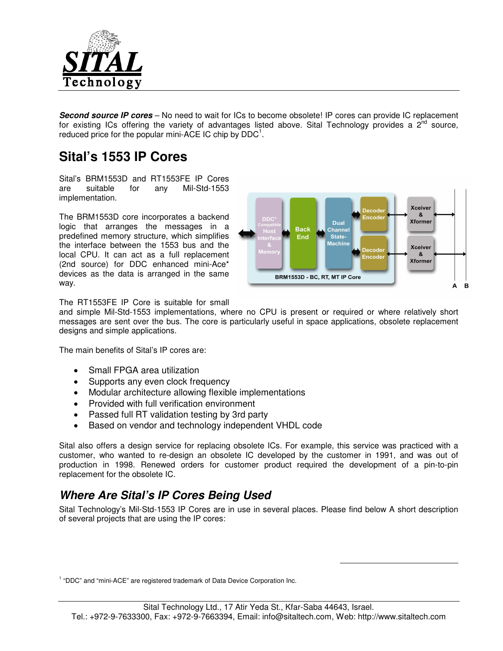

**Second source IP cores** – No need to wait for ICs to become obsolete! IP cores can provide IC replacement for existing ICs offering the variety of advantages listed above. Sital Technology provides a  $2^{nd}$  source, reduced price for the popular mini-ACE IC chip by  $DDC<sup>1</sup>$ .

## **Sital's 1553 IP Cores**

Sital's BRM1553D and RT1553FE IP Cores are suitable for any Mil-Std-1553 implementation.

The BRM1553D core incorporates a backend logic that arranges the messages in a predefined memory structure, which simplifies the interface between the 1553 bus and the local CPU. It can act as a full replacement (2nd source) for DDC enhanced mini-Ace\* devices as the data is arranged in the same way.



-

The RT1553FE IP Core is suitable for small

and simple Mil-Std-1553 implementations, where no CPU is present or required or where relatively short messages are sent over the bus. The core is particularly useful in space applications, obsolete replacement designs and simple applications.

The main benefits of Sital's IP cores are:

- Small FPGA area utilization
- Supports any even clock frequency
- Modular architecture allowing flexible implementations
- Provided with full verification environment
- Passed full RT validation testing by 3rd party
- Based on vendor and technology independent VHDL code

Sital also offers a design service for replacing obsolete ICs. For example, this service was practiced with a customer, who wanted to re-design an obsolete IC developed by the customer in 1991, and was out of production in 1998. Renewed orders for customer product required the development of a pin-to-pin replacement for the obsolete IC.

### **Where Are Sital's IP Cores Being Used**

Sital Technology's Mil-Std-1553 IP Cores are in use in several places. Please find below A short description of several projects that are using the IP cores:

<sup>1</sup> "DDC" and "mini-ACE" are registered trademark of Data Device Corporation Inc.